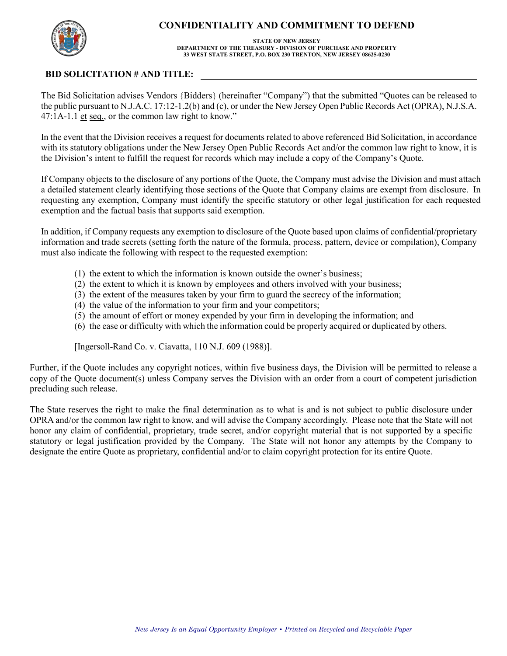

## **CONFIDENTIALITY AND COMMITMENT TO DEFEND**

## **STATE OF NEW JERSEY DEPARTMENT OF THE TREASURY - DIVISION OF PURCHASE AND PROPERTY 33 WEST STATE STREET, P.O. BOX 230 TRENTON, NEW JERSEY 08625-0230**

## **BID SOLICITATION # AND TITLE:**

The Bid Solicitation advises Vendors {Bidders} (hereinafter "Company") that the submitted "Quotes can be released to the public pursuant to N.J.A.C. 17:12-1.2(b) and (c), or under the New Jersey Open Public Records Act (OPRA), N.J.S.A. 47:1A-1.1 et seq., or the common law right to know."

In the event that the Division receives a request for documents related to above referenced Bid Solicitation, in accordance with its statutory obligations under the New Jersey Open Public Records Act and/or the common law right to know, it is the Division's intent to fulfill the request for records which may include a copy of the Company's Quote.

If Company objects to the disclosure of any portions of the Quote, the Company must advise the Division and must attach a detailed statement clearly identifying those sections of the Quote that Company claims are exempt from disclosure. In requesting any exemption, Company must identify the specific statutory or other legal justification for each requested exemption and the factual basis that supports said exemption.

In addition, if Company requests any exemption to disclosure of the Quote based upon claims of confidential/proprietary information and trade secrets (setting forth the nature of the formula, process, pattern, device or compilation), Company must also indicate the following with respect to the requested exemption:

- (1) the extent to which the information is known outside the owner's business;
- (2) the extent to which it is known by employees and others involved with your business;
- (3) the extent of the measures taken by your firm to guard the secrecy of the information;
- (4) the value of the information to your firm and your competitors;
- (5) the amount of effort or money expended by your firm in developing the information; and
- (6) the ease or difficulty with which the information could be properly acquired or duplicated by others.

[Ingersoll-Rand Co. v. Ciavatta, 110 N.J. 609 (1988)].

Further, if the Quote includes any copyright notices, within five business days, the Division will be permitted to release a copy of the Quote document(s) unless Company serves the Division with an order from a court of competent jurisdiction precluding such release.

The State reserves the right to make the final determination as to what is and is not subject to public disclosure under OPRA and/or the common law right to know, and will advise the Company accordingly. Please note that the State will not honor any claim of confidential, proprietary, trade secret, and/or copyright material that is not supported by a specific statutory or legal justification provided by the Company. The State will not honor any attempts by the Company to designate the entire Quote as proprietary, confidential and/or to claim copyright protection for its entire Quote.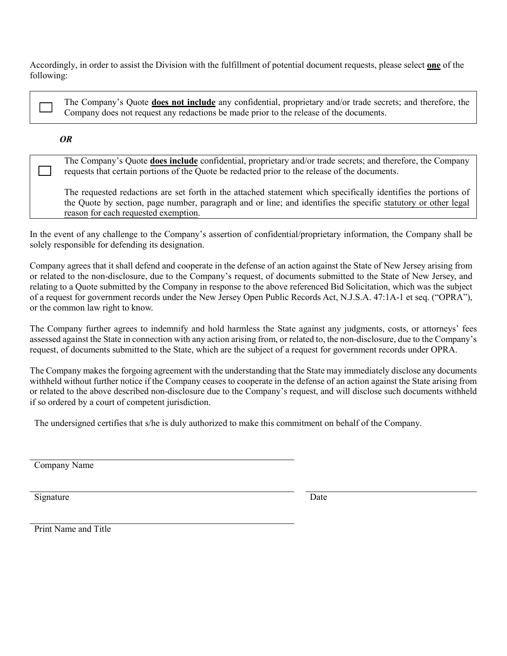Accordingly, in order to assist the Division with the fulfillment of potential document requests, please select **one** of the following:

The Company's Quote **does not include** any confidential, proprietary and/or trade secrets; and therefore, the Company does not request any redactions be made prior to the release of the documents.

## *OR*

 $\blacksquare$ 

The Company's Quote **does include** confidential, proprietary and/or trade secrets; and therefore, the Company requests that certain portions of the Quote be redacted prior to the release of the documents.

The requested redactions are set forth in the attached statement which specifically identifies the portions of the Quote by section, page number, paragraph and or line; and identifies the specific statutory or other legal reason for each requested exemption.

In the event of any challenge to the Company's assertion of confidential/proprietary information, the Company shall be solely responsible for defending its designation.

Company agrees that it shall defend and cooperate in the defense of an action against the State of New Jersey arising from or related to the non-disclosure, due to the Company's request, of documents submitted to the State of New Jersey, and relating to a Quote submitted by the Company in response to the above referenced Bid Solicitation, which was the subject of a request for government records under the New Jersey Open Public Records Act, N.J.S.A. 47:1A-1 et seq. ("OPRA"), or the common law right to know.

The Company further agrees to indemnify and hold harmless the State against any judgments, costs, or attorneys' fees assessed against the State in connection with any action arising from, or related to, the non-disclosure, due to the Company's request, of documents submitted to the State, which are the subject of a request for government records under OPRA.

The Company makes the forgoing agreement with the understanding that the State may immediately disclose any documents withheld without further notice if the Company ceases to cooperate in the defense of an action against the State arising from or related to the above described non-disclosure due to the Company's request, and will disclose such documents withheld if so ordered by a court of competent jurisdiction.

The undersigned certifies that s/he is duly authorized to make this commitment on behalf of the Company.

Company Name

Signature Date

Print Name and Title